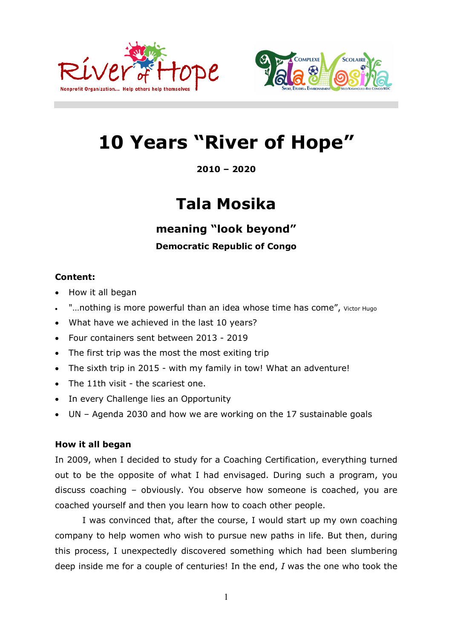



# **10 Years "River of Hope"**

**2010 – 2020**

## **Tala Mosika**

**meaning "look beyond"**

## **Democratic Republic of Congo**

## **Content:**

- How it all began
- "...nothing is more powerful than an idea whose time has come", Victor Hugo
- What have we achieved in the last 10 years?
- Four containers sent between 2013 2019
- The first trip was the most the most exiting trip
- The sixth trip in 2015 with my family in tow! What an adventure!
- The 11th visit the scariest one.
- In every Challenge lies an Opportunity
- UN Agenda 2030 and how we are working on the 17 sustainable goals

## **How it all began**

In 2009, when I decided to study for a Coaching Certification, everything turned out to be the opposite of what I had envisaged. During such a program, you discuss coaching – obviously. You observe how someone is coached, you are coached yourself and then you learn how to coach other people.

I was convinced that, after the course, I would start up my own coaching company to help women who wish to pursue new paths in life. But then, during this process, I unexpectedly discovered something which had been slumbering deep inside me for a couple of centuries! In the end, *I* was the one who took the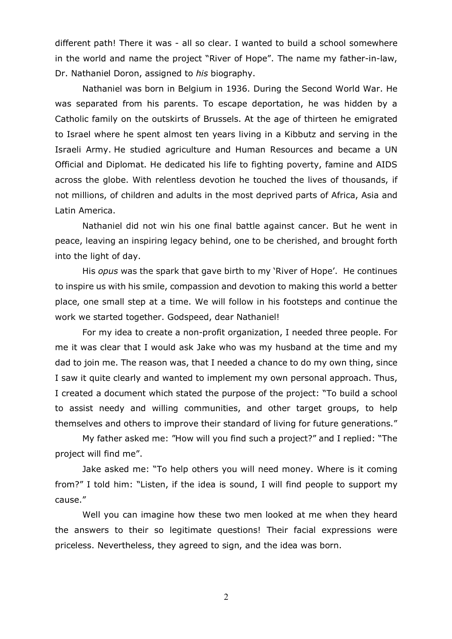different path! There it was - all so clear. I wanted to build a school somewhere in the world and name the project "River of Hope". The name my father-in-law, Dr. Nathaniel Doron, assigned to *his* biography.

Nathaniel was born in Belgium in 1936. During the Second World War. He was separated from his parents. To escape deportation, he was hidden by a Catholic family on the outskirts of Brussels. At the age of thirteen he emigrated to Israel where he spent almost ten years living in a Kibbutz and serving in the Israeli Army. He studied agriculture and Human Resources and became a UN Official and Diplomat. He dedicated his life to fighting poverty, famine and AIDS across the globe. With relentless devotion he touched the lives of thousands, if not millions, of children and adults in the most deprived parts of Africa, Asia and Latin America.

Nathaniel did not win his one final battle against cancer. But he went in peace, leaving an inspiring legacy behind, one to be cherished, and brought forth into the light of day.

His *opus* was the spark that gave birth to my 'River of Hope'. He continues to inspire us with his smile, compassion and devotion to making this world a better place, one small step at a time. We will follow in his footsteps and continue the work we started together. Godspeed, dear Nathaniel!

For my idea to create a non-profit organization, I needed three people. For me it was clear that I would ask Jake who was my husband at the time and my dad to join me. The reason was, that I needed a chance to do my own thing, since I saw it quite clearly and wanted to implement my own personal approach. Thus, I created a document which stated the purpose of the project: "To build a school to assist needy and willing communities, and other target groups, to help themselves and others to improve their standard of living for future generations."

My father asked me: "How will you find such a project?" and I replied: "The project will find me".

Jake asked me: "To help others you will need money. Where is it coming from?" I told him: "Listen, if the idea is sound, I will find people to support my cause."

Well you can imagine how these two men looked at me when they heard the answers to their so legitimate questions! Their facial expressions were priceless. Nevertheless, they agreed to sign, and the idea was born.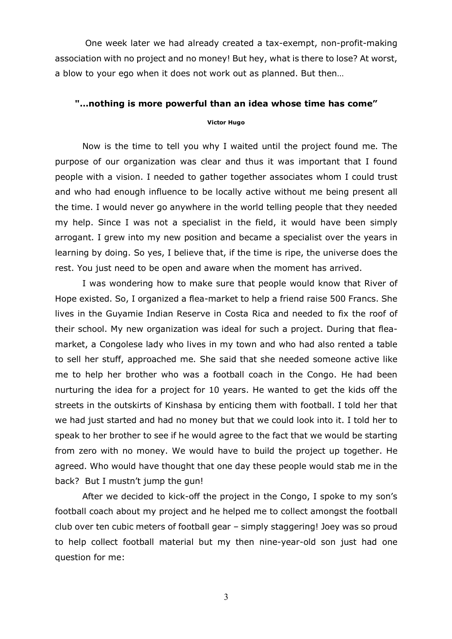One week later we had already created a tax-exempt, non-profit-making association with no project and no money! But hey, what is there to lose? At worst, a blow to your ego when it does not work out as planned. But then…

#### **"…nothing is more powerful than an idea whose time has come"**

#### **Victor Hugo**

Now is the time to tell you why I waited until the project found me. The purpose of our organization was clear and thus it was important that I found people with a vision. I needed to gather together associates whom I could trust and who had enough influence to be locally active without me being present all the time. I would never go anywhere in the world telling people that they needed my help. Since I was not a specialist in the field, it would have been simply arrogant. I grew into my new position and became a specialist over the years in learning by doing. So yes, I believe that, if the time is ripe, the universe does the rest. You just need to be open and aware when the moment has arrived.

I was wondering how to make sure that people would know that River of Hope existed. So, I organized a flea-market to help a friend raise 500 Francs. She lives in the Guyamie Indian Reserve in Costa Rica and needed to fix the roof of their school. My new organization was ideal for such a project. During that fleamarket, a Congolese lady who lives in my town and who had also rented a table to sell her stuff, approached me. She said that she needed someone active like me to help her brother who was a football coach in the Congo. He had been nurturing the idea for a project for 10 years. He wanted to get the kids off the streets in the outskirts of Kinshasa by enticing them with football. I told her that we had just started and had no money but that we could look into it. I told her to speak to her brother to see if he would agree to the fact that we would be starting from zero with no money. We would have to build the project up together. He agreed. Who would have thought that one day these people would stab me in the back? But I mustn't jump the gun!

After we decided to kick-off the project in the Congo, I spoke to my son's football coach about my project and he helped me to collect amongst the football club over ten cubic meters of football gear – simply staggering! Joey was so proud to help collect football material but my then nine-year-old son just had one question for me: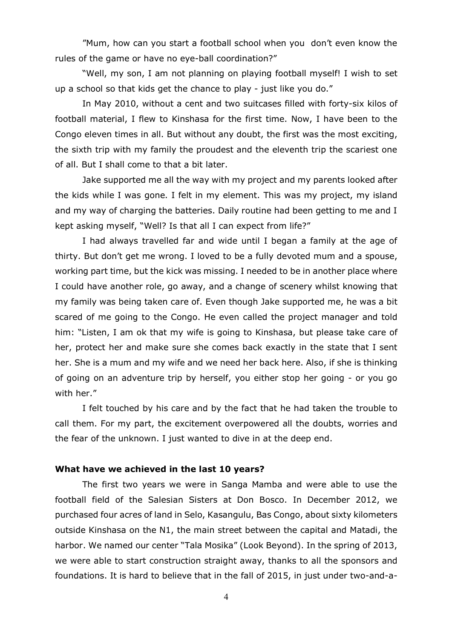"Mum, how can you start a football school when you don't even know the rules of the game or have no eye-ball coordination?"

"Well, my son, I am not planning on playing football myself! I wish to set up a school so that kids get the chance to play - just like you do."

In May 2010, without a cent and two suitcases filled with forty-six kilos of football material, I flew to Kinshasa for the first time. Now, I have been to the Congo eleven times in all. But without any doubt, the first was the most exciting, the sixth trip with my family the proudest and the eleventh trip the scariest one of all. But I shall come to that a bit later.

Jake supported me all the way with my project and my parents looked after the kids while I was gone. I felt in my element. This was my project, my island and my way of charging the batteries. Daily routine had been getting to me and I kept asking myself, "Well? Is that all I can expect from life?"

I had always travelled far and wide until I began a family at the age of thirty. But don't get me wrong. I loved to be a fully devoted mum and a spouse, working part time, but the kick was missing. I needed to be in another place where I could have another role, go away, and a change of scenery whilst knowing that my family was being taken care of. Even though Jake supported me, he was a bit scared of me going to the Congo. He even called the project manager and told him: "Listen, I am ok that my wife is going to Kinshasa, but please take care of her, protect her and make sure she comes back exactly in the state that I sent her. She is a mum and my wife and we need her back here. Also, if she is thinking of going on an adventure trip by herself, you either stop her going - or you go with her."

I felt touched by his care and by the fact that he had taken the trouble to call them. For my part, the excitement overpowered all the doubts, worries and the fear of the unknown. I just wanted to dive in at the deep end.

#### **What have we achieved in the last 10 years?**

The first two years we were in Sanga Mamba and were able to use the football field of the Salesian Sisters at Don Bosco. In December 2012, we purchased four acres of land in Selo, Kasangulu, Bas Congo, about sixty kilometers outside Kinshasa on the N1, the main street between the capital and Matadi, the harbor. We named our center "Tala Mosika" (Look Beyond). In the spring of 2013, we were able to start construction straight away, thanks to all the sponsors and foundations. It is hard to believe that in the fall of 2015, in just under two-and-a-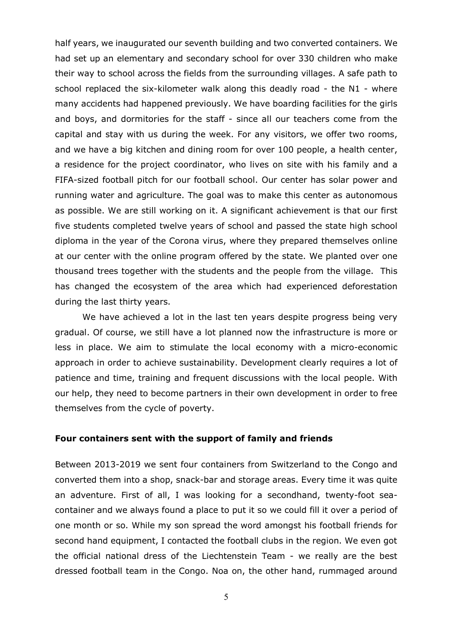half years, we inaugurated our seventh building and two converted containers. We had set up an elementary and secondary school for over 330 children who make their way to school across the fields from the surrounding villages. A safe path to school replaced the six-kilometer walk along this deadly road - the N1 - where many accidents had happened previously. We have boarding facilities for the girls and boys, and dormitories for the staff - since all our teachers come from the capital and stay with us during the week. For any visitors, we offer two rooms, and we have a big kitchen and dining room for over 100 people, a health center, a residence for the project coordinator, who lives on site with his family and a FIFA-sized football pitch for our football school. Our center has solar power and running water and agriculture. The goal was to make this center as autonomous as possible. We are still working on it. A significant achievement is that our first five students completed twelve years of school and passed the state high school diploma in the year of the Corona virus, where they prepared themselves online at our center with the online program offered by the state. We planted over one thousand trees together with the students and the people from the village. This has changed the ecosystem of the area which had experienced deforestation during the last thirty years.

We have achieved a lot in the last ten years despite progress being very gradual. Of course, we still have a lot planned now the infrastructure is more or less in place. We aim to stimulate the local economy with a micro-economic approach in order to achieve sustainability. Development clearly requires a lot of patience and time, training and frequent discussions with the local people. With our help, they need to become partners in their own development in order to free themselves from the cycle of poverty.

#### **Four containers sent with the support of family and friends**

Between 2013-2019 we sent four containers from Switzerland to the Congo and converted them into a shop, snack-bar and storage areas. Every time it was quite an adventure. First of all, I was looking for a secondhand, twenty-foot seacontainer and we always found a place to put it so we could fill it over a period of one month or so. While my son spread the word amongst his football friends for second hand equipment, I contacted the football clubs in the region. We even got the official national dress of the Liechtenstein Team - we really are the best dressed football team in the Congo. Noa on, the other hand, rummaged around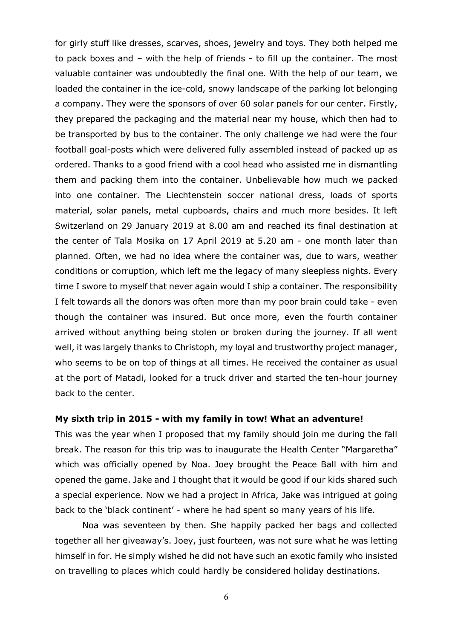for girly stuff like dresses, scarves, shoes, jewelry and toys. They both helped me to pack boxes and – with the help of friends - to fill up the container. The most valuable container was undoubtedly the final one. With the help of our team, we loaded the container in the ice-cold, snowy landscape of the parking lot belonging a company. They were the sponsors of over 60 solar panels for our center. Firstly, they prepared the packaging and the material near my house, which then had to be transported by bus to the container. The only challenge we had were the four football goal-posts which were delivered fully assembled instead of packed up as ordered. Thanks to a good friend with a cool head who assisted me in dismantling them and packing them into the container. Unbelievable how much we packed into one container. The Liechtenstein soccer national dress, loads of sports material, solar panels, metal cupboards, chairs and much more besides. It left Switzerland on 29 January 2019 at 8.00 am and reached its final destination at the center of Tala Mosika on 17 April 2019 at 5.20 am - one month later than planned. Often, we had no idea where the container was, due to wars, weather conditions or corruption, which left me the legacy of many sleepless nights. Every time I swore to myself that never again would I ship a container. The responsibility I felt towards all the donors was often more than my poor brain could take - even though the container was insured. But once more, even the fourth container arrived without anything being stolen or broken during the journey. If all went well, it was largely thanks to Christoph, my loyal and trustworthy project manager, who seems to be on top of things at all times. He received the container as usual at the port of Matadi, looked for a truck driver and started the ten-hour journey back to the center.

#### **My sixth trip in 2015 - with my family in tow! What an adventure!**

This was the year when I proposed that my family should join me during the fall break. The reason for this trip was to inaugurate the Health Center "Margaretha" which was officially opened by Noa. Joey brought the Peace Ball with him and opened the game. Jake and I thought that it would be good if our kids shared such a special experience. Now we had a project in Africa, Jake was intrigued at going back to the 'black continent' - where he had spent so many years of his life.

Noa was seventeen by then. She happily packed her bags and collected together all her giveaway's. Joey, just fourteen, was not sure what he was letting himself in for. He simply wished he did not have such an exotic family who insisted on travelling to places which could hardly be considered holiday destinations.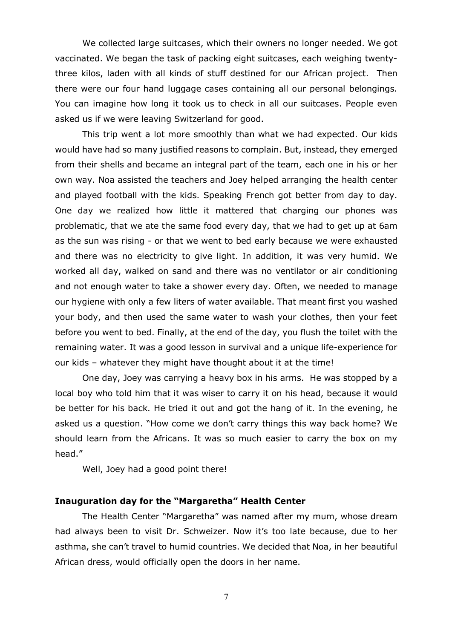We collected large suitcases, which their owners no longer needed. We got vaccinated. We began the task of packing eight suitcases, each weighing twentythree kilos, laden with all kinds of stuff destined for our African project. Then there were our four hand luggage cases containing all our personal belongings. You can imagine how long it took us to check in all our suitcases. People even asked us if we were leaving Switzerland for good.

This trip went a lot more smoothly than what we had expected. Our kids would have had so many justified reasons to complain. But, instead, they emerged from their shells and became an integral part of the team, each one in his or her own way. Noa assisted the teachers and Joey helped arranging the health center and played football with the kids. Speaking French got better from day to day. One day we realized how little it mattered that charging our phones was problematic, that we ate the same food every day, that we had to get up at 6am as the sun was rising - or that we went to bed early because we were exhausted and there was no electricity to give light. In addition, it was very humid. We worked all day, walked on sand and there was no ventilator or air conditioning and not enough water to take a shower every day. Often, we needed to manage our hygiene with only a few liters of water available. That meant first you washed your body, and then used the same water to wash your clothes, then your feet before you went to bed. Finally, at the end of the day, you flush the toilet with the remaining water. It was a good lesson in survival and a unique life-experience for our kids – whatever they might have thought about it at the time!

One day, Joey was carrying a heavy box in his arms. He was stopped by a local boy who told him that it was wiser to carry it on his head, because it would be better for his back. He tried it out and got the hang of it. In the evening, he asked us a question. "How come we don't carry things this way back home? We should learn from the Africans. It was so much easier to carry the box on my head."

Well, Joey had a good point there!

#### **Inauguration day for the "Margaretha" Health Center**

The Health Center "Margaretha" was named after my mum, whose dream had always been to visit Dr. Schweizer. Now it's too late because, due to her asthma, she can't travel to humid countries. We decided that Noa, in her beautiful African dress, would officially open the doors in her name.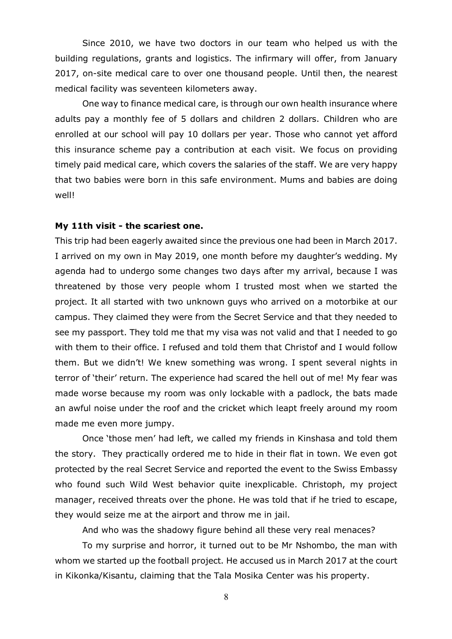Since 2010, we have two doctors in our team who helped us with the building regulations, grants and logistics. The infirmary will offer, from January 2017, on-site medical care to over one thousand people. Until then, the nearest medical facility was seventeen kilometers away.

One way to finance medical care, is through our own health insurance where adults pay a monthly fee of 5 dollars and children 2 dollars. Children who are enrolled at our school will pay 10 dollars per year. Those who cannot yet afford this insurance scheme pay a contribution at each visit. We focus on providing timely paid medical care, which covers the salaries of the staff. We are very happy that two babies were born in this safe environment. Mums and babies are doing well!

#### **My 11th visit - the scariest one.**

This trip had been eagerly awaited since the previous one had been in March 2017. I arrived on my own in May 2019, one month before my daughter's wedding. My agenda had to undergo some changes two days after my arrival, because I was threatened by those very people whom I trusted most when we started the project. It all started with two unknown guys who arrived on a motorbike at our campus. They claimed they were from the Secret Service and that they needed to see my passport. They told me that my visa was not valid and that I needed to go with them to their office. I refused and told them that Christof and I would follow them. But we didn't! We knew something was wrong. I spent several nights in terror of 'their' return. The experience had scared the hell out of me! My fear was made worse because my room was only lockable with a padlock, the bats made an awful noise under the roof and the cricket which leapt freely around my room made me even more jumpy.

Once 'those men' had left, we called my friends in Kinshasa and told them the story. They practically ordered me to hide in their flat in town. We even got protected by the real Secret Service and reported the event to the Swiss Embassy who found such Wild West behavior quite inexplicable. Christoph, my project manager, received threats over the phone. He was told that if he tried to escape, they would seize me at the airport and throw me in jail.

And who was the shadowy figure behind all these very real menaces?

To my surprise and horror, it turned out to be Mr Nshombo, the man with whom we started up the football project. He accused us in March 2017 at the court in Kikonka/Kisantu, claiming that the Tala Mosika Center was his property.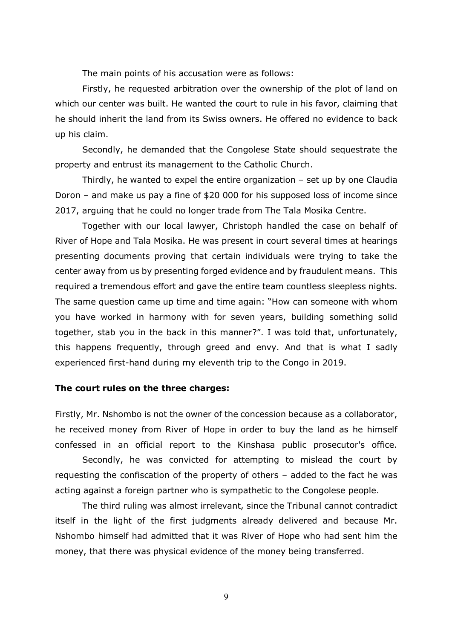The main points of his accusation were as follows:

Firstly, he requested arbitration over the ownership of the plot of land on which our center was built. He wanted the court to rule in his favor, claiming that he should inherit the land from its Swiss owners. He offered no evidence to back up his claim.

Secondly, he demanded that the Congolese State should sequestrate the property and entrust its management to the Catholic Church.

Thirdly, he wanted to expel the entire organization – set up by one Claudia Doron – and make us pay a fine of \$20 000 for his supposed loss of income since 2017, arguing that he could no longer trade from The Tala Mosika Centre.

Together with our local lawyer, Christoph handled the case on behalf of River of Hope and Tala Mosika. He was present in court several times at hearings presenting documents proving that certain individuals were trying to take the center away from us by presenting forged evidence and by fraudulent means. This required a tremendous effort and gave the entire team countless sleepless nights. The same question came up time and time again: "How can someone with whom you have worked in harmony with for seven years, building something solid together, stab you in the back in this manner?". I was told that, unfortunately, this happens frequently, through greed and envy. And that is what I sadly experienced first-hand during my eleventh trip to the Congo in 2019.

#### **The court rules on the three charges:**

Firstly, Mr. Nshombo is not the owner of the concession because as a collaborator, he received money from River of Hope in order to buy the land as he himself confessed in an official report to the Kinshasa public prosecutor's office.

Secondly, he was convicted for attempting to mislead the court by requesting the confiscation of the property of others – added to the fact he was acting against a foreign partner who is sympathetic to the Congolese people.

The third ruling was almost irrelevant, since the Tribunal cannot contradict itself in the light of the first judgments already delivered and because Mr. Nshombo himself had admitted that it was River of Hope who had sent him the money, that there was physical evidence of the money being transferred.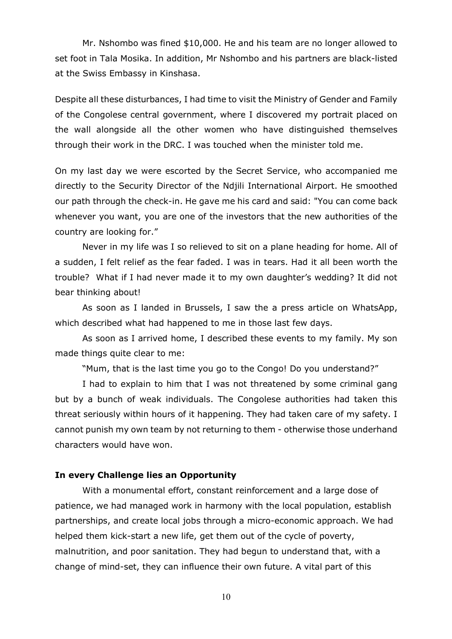Mr. Nshombo was fined \$10,000. He and his team are no longer allowed to set foot in Tala Mosika. In addition, Mr Nshombo and his partners are black-listed at the Swiss Embassy in Kinshasa.

Despite all these disturbances, I had time to visit the Ministry of Gender and Family of the Congolese central government, where I discovered my portrait placed on the wall alongside all the other women who have distinguished themselves through their work in the DRC. I was touched when the minister told me.

On my last day we were escorted by the Secret Service, who accompanied me directly to the Security Director of the Ndjili International Airport. He smoothed our path through the check-in. He gave me his card and said: "You can come back whenever you want, you are one of the investors that the new authorities of the country are looking for."

Never in my life was I so relieved to sit on a plane heading for home. All of a sudden, I felt relief as the fear faded. I was in tears. Had it all been worth the trouble? What if I had never made it to my own daughter's wedding? It did not bear thinking about!

As soon as I landed in Brussels, I saw the a press article on WhatsApp, which described what had happened to me in those last few days.

As soon as I arrived home, I described these events to my family. My son made things quite clear to me:

"Mum, that is the last time you go to the Congo! Do you understand?"

I had to explain to him that I was not threatened by some criminal gang but by a bunch of weak individuals. The Congolese authorities had taken this threat seriously within hours of it happening. They had taken care of my safety. I cannot punish my own team by not returning to them - otherwise those underhand characters would have won.

#### **In every Challenge lies an Opportunity**

With a monumental effort, constant reinforcement and a large dose of patience, we had managed work in harmony with the local population, establish partnerships, and create local jobs through a micro-economic approach. We had helped them kick-start a new life, get them out of the cycle of poverty, malnutrition, and poor sanitation. They had begun to understand that, with a change of mind-set, they can influence their own future. A vital part of this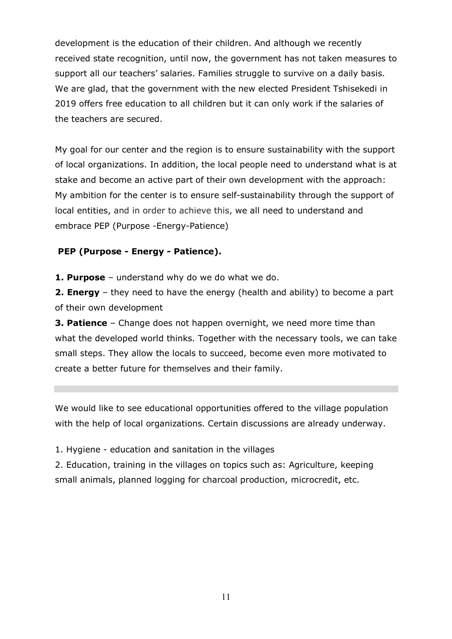development is the education of their children. And although we recently received state recognition, until now, the government has not taken measures to support all our teachers' salaries. Families struggle to survive on a daily basis. We are glad, that the government with the new elected President Tshisekedi in 2019 offers free education to all children but it can only work if the salaries of the teachers are secured.

My goal for our center and the region is to ensure sustainability with the support of local organizations. In addition, the local people need to understand what is at stake and become an active part of their own development with the approach: My ambition for the center is to ensure self-sustainability through the support of local entities, and in order to achieve this, we all need to understand and embrace PEP (Purpose -Energy-Patience)

### **PEP (Purpose - Energy - Patience).**

**1. Purpose** – understand why do we do what we do.

**2. Energy** – they need to have the energy (health and ability) to become a part of their own development

**3. Patience** – Change does not happen overnight, we need more time than what the developed world thinks. Together with the necessary tools, we can take small steps. They allow the locals to succeed, become even more motivated to create a better future for themselves and their family.

We would like to see educational opportunities offered to the village population with the help of local organizations. Certain discussions are already underway.

1. Hygiene - education and sanitation in the villages

2. Education, training in the villages on topics such as: Agriculture, keeping small animals, planned logging for charcoal production, microcredit, etc.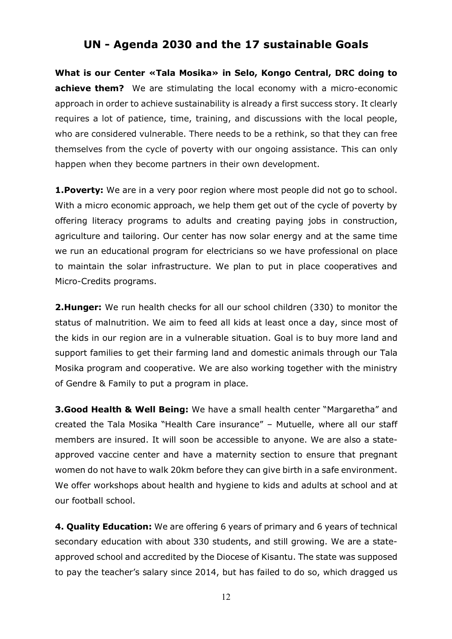## **UN - Agenda 2030 and the 17 sustainable Goals**

**What is our Center «Tala Mosika» in Selo, Kongo Central, DRC doing to achieve them?** We are stimulating the local economy with a micro-economic approach in order to achieve sustainability is already a first success story. It clearly requires a lot of patience, time, training, and discussions with the local people, who are considered vulnerable. There needs to be a rethink, so that they can free themselves from the cycle of poverty with our ongoing assistance. This can only happen when they become partners in their own development.

**1.Poverty:** We are in a very poor region where most people did not go to school. With a micro economic approach, we help them get out of the cycle of poverty by offering literacy programs to adults and creating paying jobs in construction, agriculture and tailoring. Our center has now solar energy and at the same time we run an educational program for electricians so we have professional on place to maintain the solar infrastructure. We plan to put in place cooperatives and Micro-Credits programs.

**2.Hunger:** We run health checks for all our school children (330) to monitor the status of malnutrition. We aim to feed all kids at least once a day, since most of the kids in our region are in a vulnerable situation. Goal is to buy more land and support families to get their farming land and domestic animals through our Tala Mosika program and cooperative. We are also working together with the ministry of Gendre & Family to put a program in place.

**3.Good Health & Well Being:** We have a small health center "Margaretha" and created the Tala Mosika "Health Care insurance" – Mutuelle, where all our staff members are insured. It will soon be accessible to anyone. We are also a stateapproved vaccine center and have a maternity section to ensure that pregnant women do not have to walk 20km before they can give birth in a safe environment. We offer workshops about health and hygiene to kids and adults at school and at our football school.

**4. Quality Education:** We are offering 6 years of primary and 6 years of technical secondary education with about 330 students, and still growing. We are a stateapproved school and accredited by the Diocese of Kisantu. The state was supposed to pay the teacher's salary since 2014, but has failed to do so, which dragged us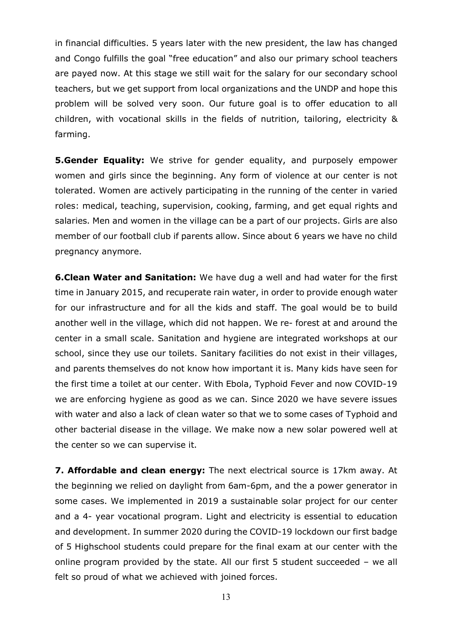in financial difficulties. 5 years later with the new president, the law has changed and Congo fulfills the goal "free education" and also our primary school teachers are payed now. At this stage we still wait for the salary for our secondary school teachers, but we get support from local organizations and the UNDP and hope this problem will be solved very soon. Our future goal is to offer education to all children, with vocational skills in the fields of nutrition, tailoring, electricity & farming.

**5.Gender Equality:** We strive for gender equality, and purposely empower women and girls since the beginning. Any form of violence at our center is not tolerated. Women are actively participating in the running of the center in varied roles: medical, teaching, supervision, cooking, farming, and get equal rights and salaries. Men and women in the village can be a part of our projects. Girls are also member of our football club if parents allow. Since about 6 years we have no child pregnancy anymore.

**6.Clean Water and Sanitation:** We have dug a well and had water for the first time in January 2015, and recuperate rain water, in order to provide enough water for our infrastructure and for all the kids and staff. The goal would be to build another well in the village, which did not happen. We re- forest at and around the center in a small scale. Sanitation and hygiene are integrated workshops at our school, since they use our toilets. Sanitary facilities do not exist in their villages, and parents themselves do not know how important it is. Many kids have seen for the first time a toilet at our center. With Ebola, Typhoid Fever and now COVID-19 we are enforcing hygiene as good as we can. Since 2020 we have severe issues with water and also a lack of clean water so that we to some cases of Typhoid and other bacterial disease in the village. We make now a new solar powered well at the center so we can supervise it.

**7. Affordable and clean energy:** The next electrical source is 17km away. At the beginning we relied on daylight from 6am-6pm, and the a power generator in some cases. We implemented in 2019 a sustainable solar project for our center and a 4- year vocational program. Light and electricity is essential to education and development. In summer 2020 during the COVID-19 lockdown our first badge of 5 Highschool students could prepare for the final exam at our center with the online program provided by the state. All our first 5 student succeeded – we all felt so proud of what we achieved with joined forces.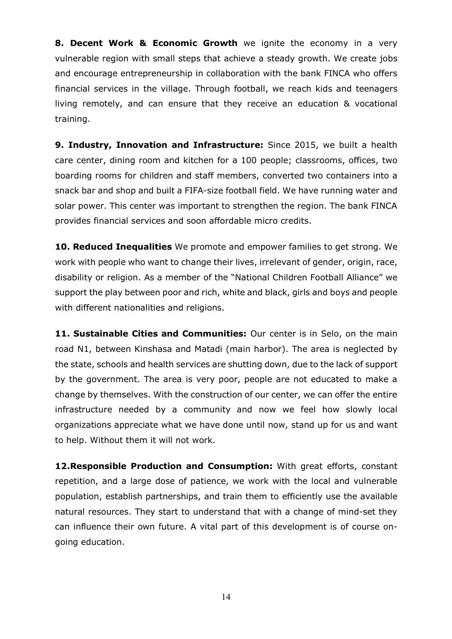**8. Decent Work & Economic Growth** we ignite the economy in a very vulnerable region with small steps that achieve a steady growth. We create jobs and encourage entrepreneurship in collaboration with the bank FINCA who offers financial services in the village. Through football, we reach kids and teenagers living remotely, and can ensure that they receive an education & vocational training.

**9. Industry, Innovation and Infrastructure:** Since 2015, we built a health care center, dining room and kitchen for a 100 people; classrooms, offices, two boarding rooms for children and staff members, converted two containers into a snack bar and shop and built a FIFA-size football field. We have running water and solar power. This center was important to strengthen the region. The bank FINCA provides financial services and soon affordable micro credits.

**10. Reduced Inequalities** We promote and empower families to get strong. We work with people who want to change their lives, irrelevant of gender, origin, race, disability or religion. As a member of the "National Children Football Alliance" we support the play between poor and rich, white and black, girls and boys and people with different nationalities and religions.

**11. Sustainable Cities and Communities:** Our center is in Selo, on the main road N1, between Kinshasa and Matadi (main harbor). The area is neglected by the state, schools and health services are shutting down, due to the lack of support by the government. The area is very poor, people are not educated to make a change by themselves. With the construction of our center, we can offer the entire infrastructure needed by a community and now we feel how slowly local organizations appreciate what we have done until now, stand up for us and want to help. Without them it will not work.

**12.Responsible Production and Consumption:** With great efforts, constant repetition, and a large dose of patience, we work with the local and vulnerable population, establish partnerships, and train them to efficiently use the available natural resources. They start to understand that with a change of mind-set they can influence their own future. A vital part of this development is of course ongoing education.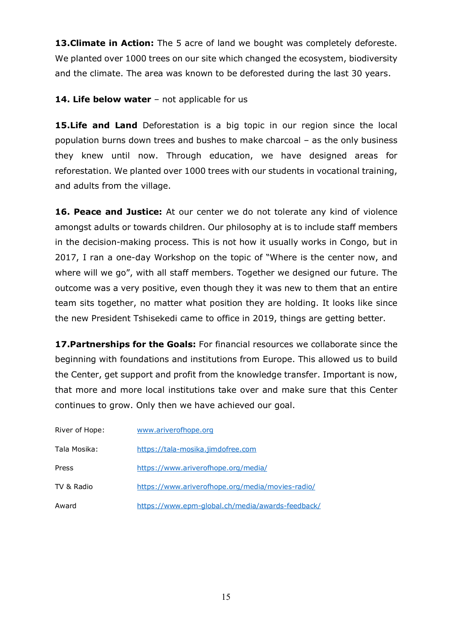**13. Climate in Action:** The 5 acre of land we bought was completely deforeste. We planted over 1000 trees on our site which changed the ecosystem, biodiversity and the climate. The area was known to be deforested during the last 30 years.

### **14. Life below water** – not applicable for us

**15.Life and Land** Deforestation is a big topic in our region since the local population burns down trees and bushes to make charcoal – as the only business they knew until now. Through education, we have designed areas for reforestation. We planted over 1000 trees with our students in vocational training, and adults from the village.

**16. Peace and Justice:** At our center we do not tolerate any kind of violence amongst adults or towards children. Our philosophy at is to include staff members in the decision-making process. This is not how it usually works in Congo, but in 2017, I ran a one-day Workshop on the topic of "Where is the center now, and where will we go", with all staff members. Together we designed our future. The outcome was a very positive, even though they it was new to them that an entire team sits together, no matter what position they are holding. It looks like since the new President Tshisekedi came to office in 2019, things are getting better.

**17.Partnerships for the Goals:** For financial resources we collaborate since the beginning with foundations and institutions from Europe. This allowed us to build the Center, get support and profit from the knowledge transfer. Important is now, that more and more local institutions take over and make sure that this Center continues to grow. Only then we have achieved our goal.

| River of Hope: | www.ariverofhope.org                             |
|----------------|--------------------------------------------------|
| Tala Mosika:   | https://tala-mosika.jimdofree.com                |
| Press          | https://www.ariverofhope.org/media/              |
| TV & Radio     | https://www.ariverofhope.org/media/movies-radio/ |
| Award          | https://www.epm-global.ch/media/awards-feedback/ |